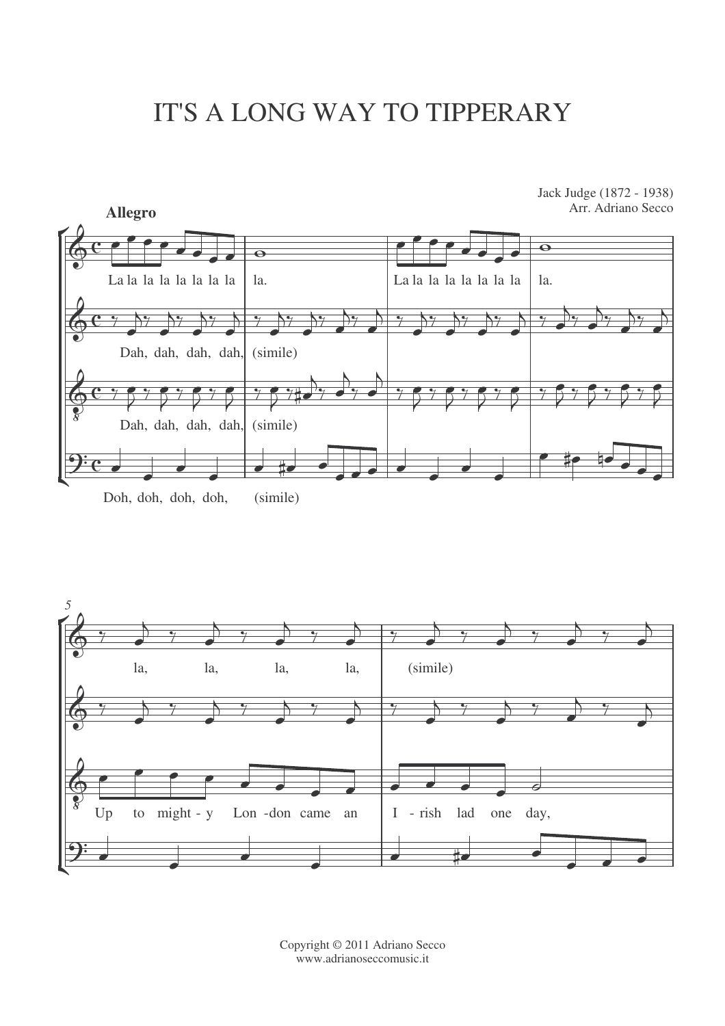## IT'S A LONG WAY TO TIPPERARY



Doh, doh, doh, doh, (simile)



Copyright © 2011 Adriano Secco www.adrianoseccomusic.it

Jack Judge (1872 - 1938) Arr. Adriano Secco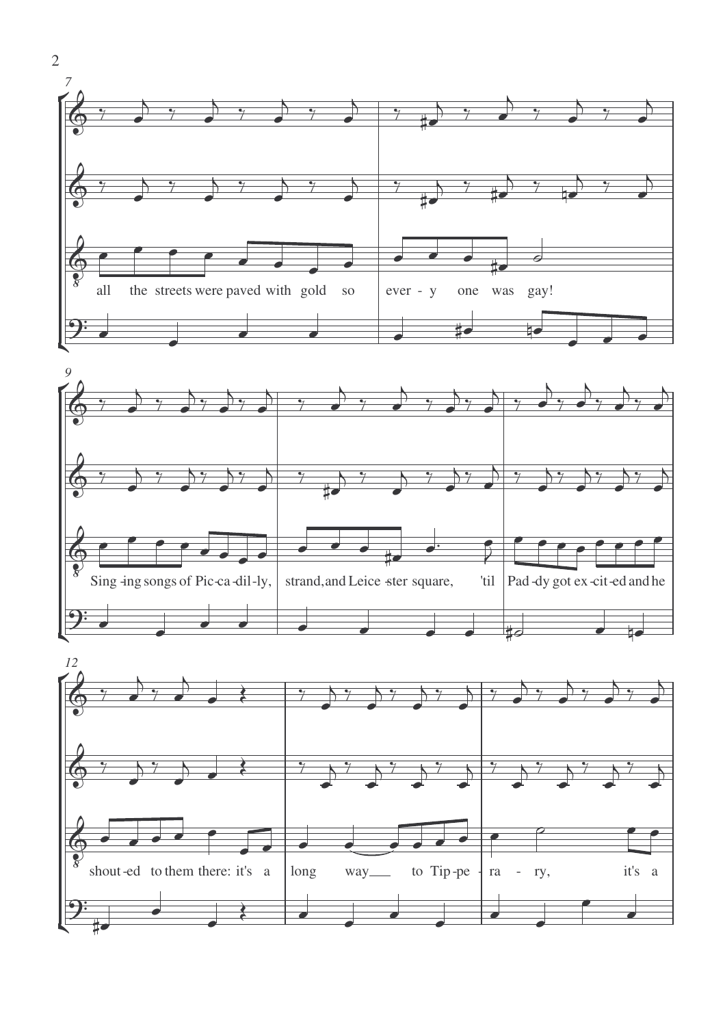



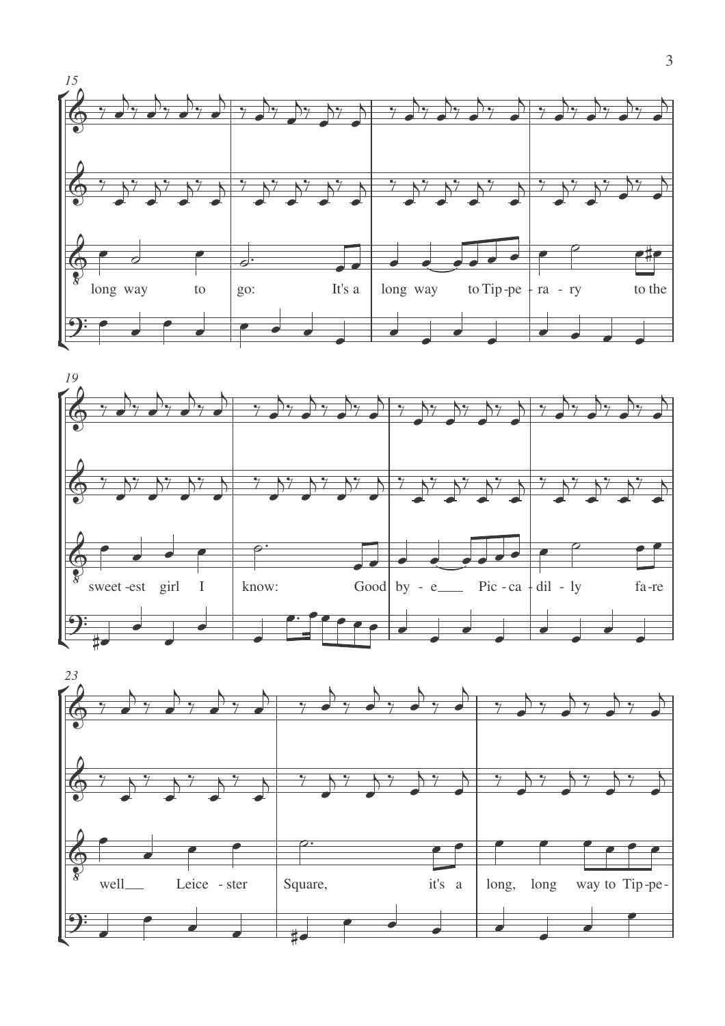



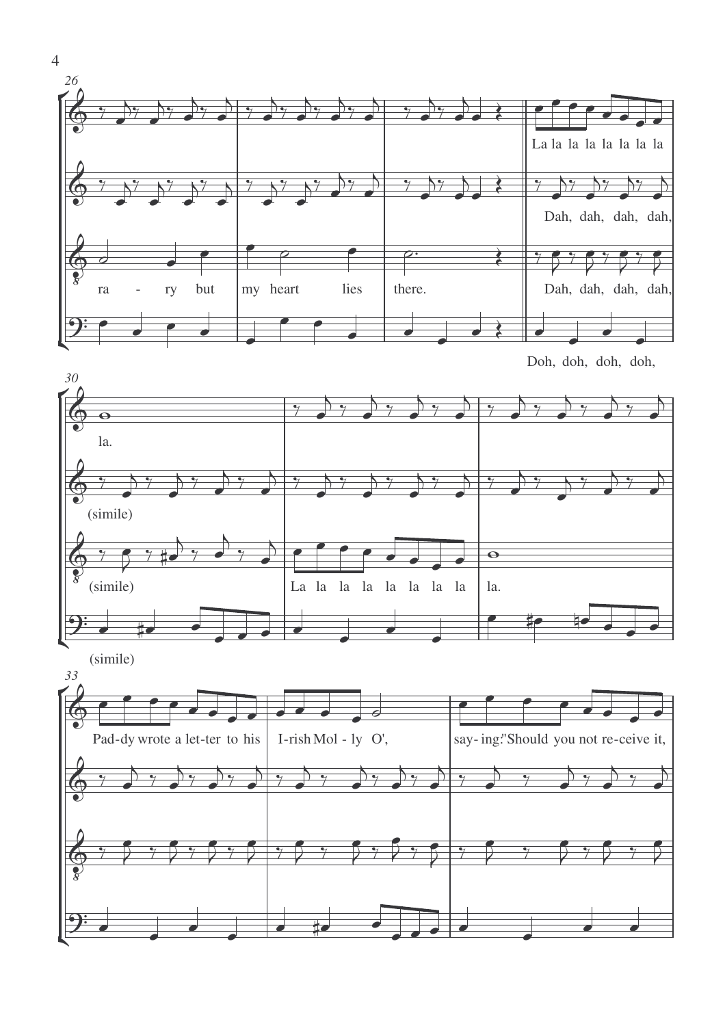



(simile) *33*



4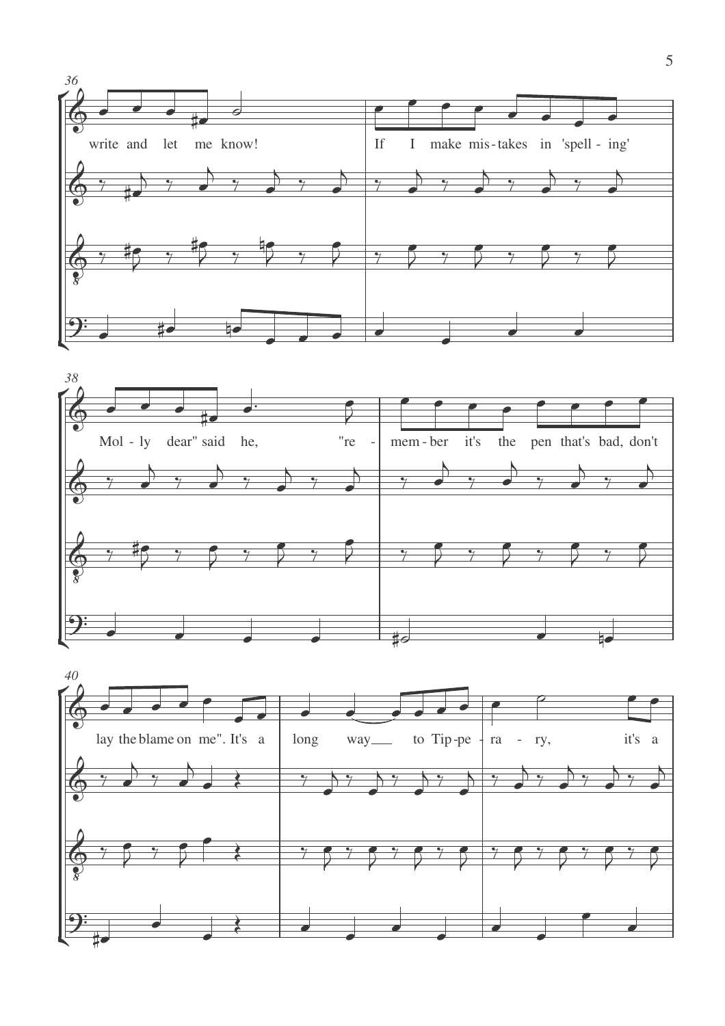



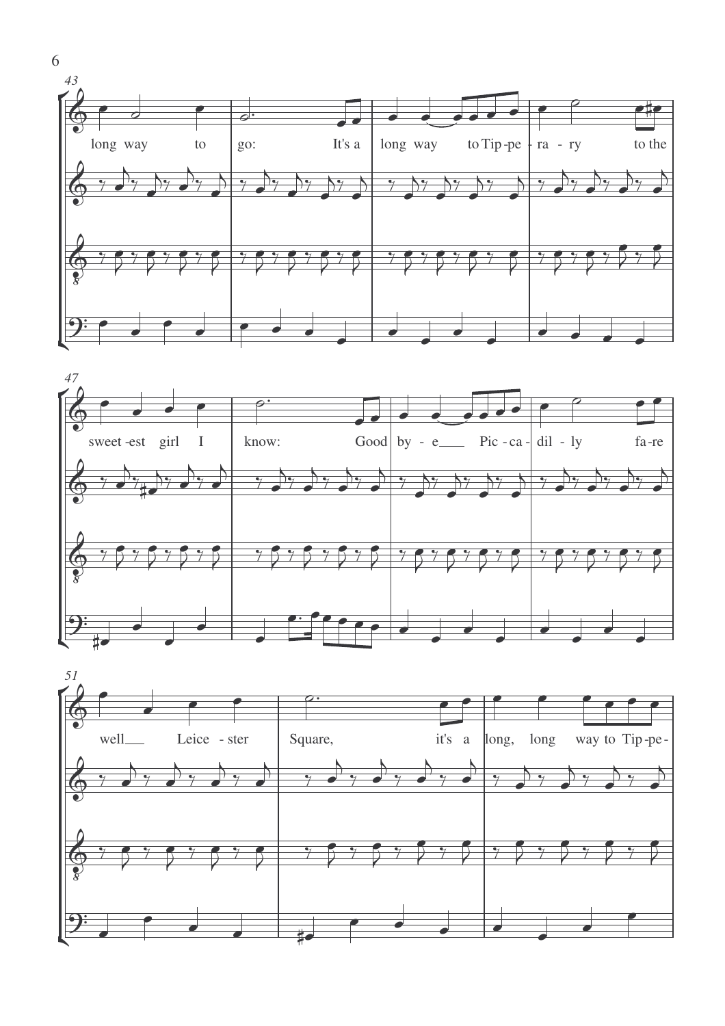





6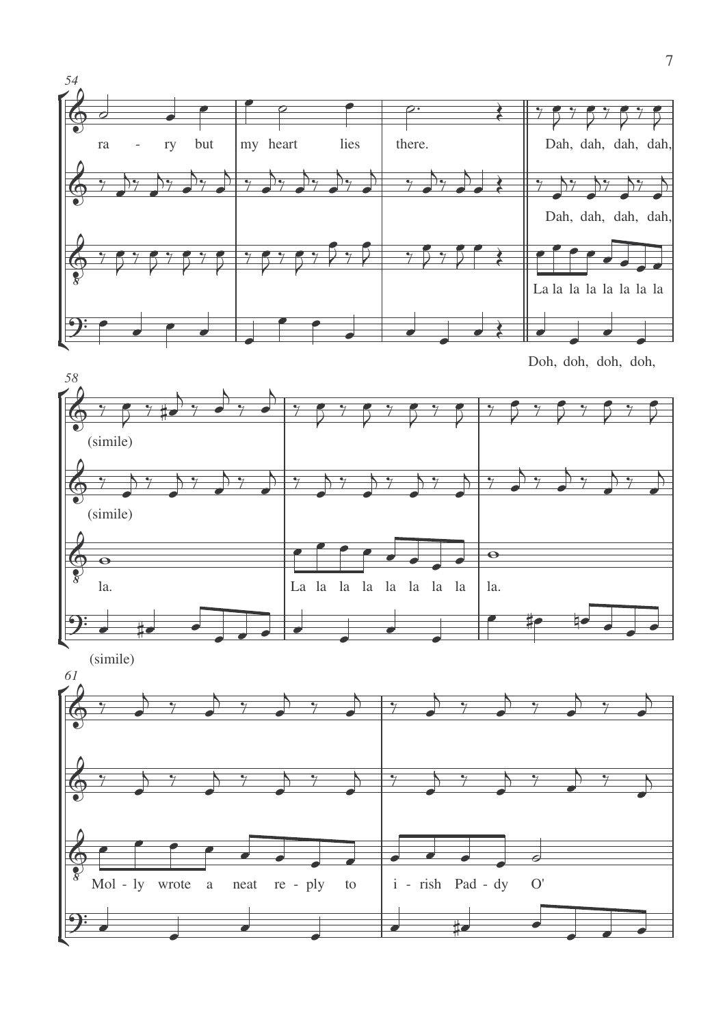

Doh, doh, doh, doh,

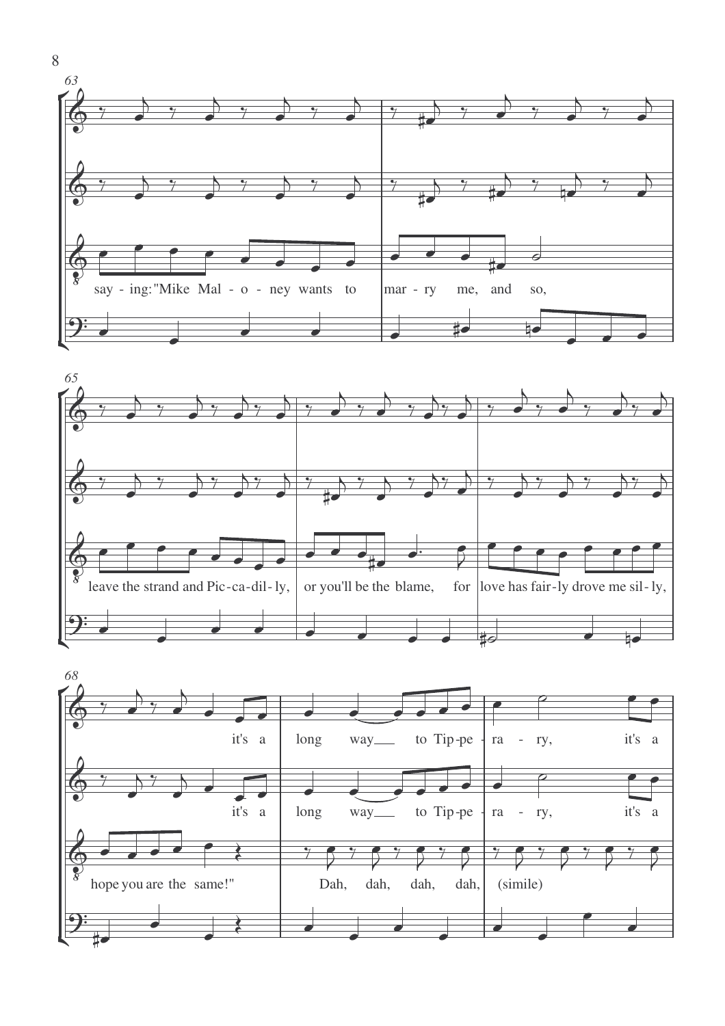





8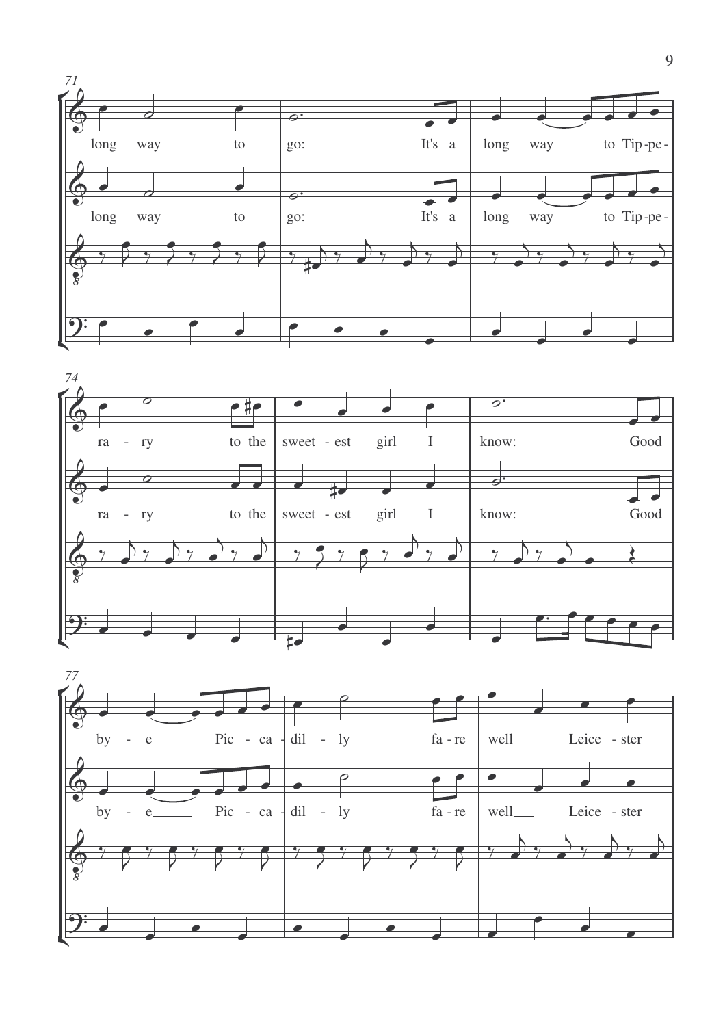